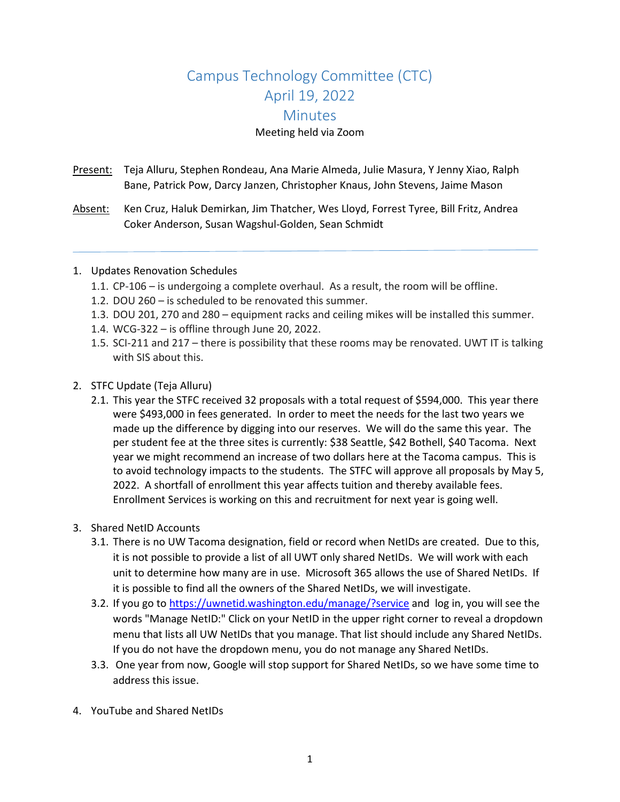### Campus Technology Committee (CTC) April 19, 2022 **Minutes**

#### Meeting held via Zoom

- Present: Teja Alluru, Stephen Rondeau, Ana Marie Almeda, Julie Masura, Y Jenny Xiao, Ralph Bane, Patrick Pow, Darcy Janzen, Christopher Knaus, John Stevens, Jaime Mason
- Absent: Ken Cruz, Haluk Demirkan, Jim Thatcher, Wes Lloyd, Forrest Tyree, Bill Fritz, Andrea Coker Anderson, Susan Wagshul-Golden, Sean Schmidt

#### 1. Updates Renovation Schedules

- 1.1. CP-106 is undergoing a complete overhaul. As a result, the room will be offline.
- 1.2. DOU 260 is scheduled to be renovated this summer.
- 1.3. DOU 201, 270 and 280 equipment racks and ceiling mikes will be installed this summer.
- 1.4. WCG-322 is offline through June 20, 2022.
- 1.5. SCI-211 and 217 there is possibility that these rooms may be renovated. UWT IT is talking with SIS about this.
- 2. STFC Update (Teja Alluru)
	- 2.1. This year the STFC received 32 proposals with a total request of \$594,000. This year there were \$493,000 in fees generated. In order to meet the needs for the last two years we made up the difference by digging into our reserves. We will do the same this year. The per student fee at the three sites is currently: \$38 Seattle, \$42 Bothell, \$40 Tacoma. Next year we might recommend an increase of two dollars here at the Tacoma campus. This is to avoid technology impacts to the students. The STFC will approve all proposals by May 5, 2022. A shortfall of enrollment this year affects tuition and thereby available fees. Enrollment Services is working on this and recruitment for next year is going well.
- 3. Shared NetID Accounts
	- 3.1. There is no UW Tacoma designation, field or record when NetIDs are created. Due to this, it is not possible to provide a list of all UWT only shared NetIDs. We will work with each unit to determine how many are in use. Microsoft 365 allows the use of Shared NetIDs. If it is possible to find all the owners of the Shared NetIDs, we will investigate.
	- 3.2. If you go to <https://uwnetid.washington.edu/manage/?service> and log in, you will see the words "Manage NetID:" Click on your NetID in the upper right corner to reveal a dropdown menu that lists all UW NetIDs that you manage. That list should include any Shared NetIDs. If you do not have the dropdown menu, you do not manage any Shared NetIDs.
	- 3.3. One year from now, Google will stop support for Shared NetIDs, so we have some time to address this issue.
- 4. YouTube and Shared NetIDs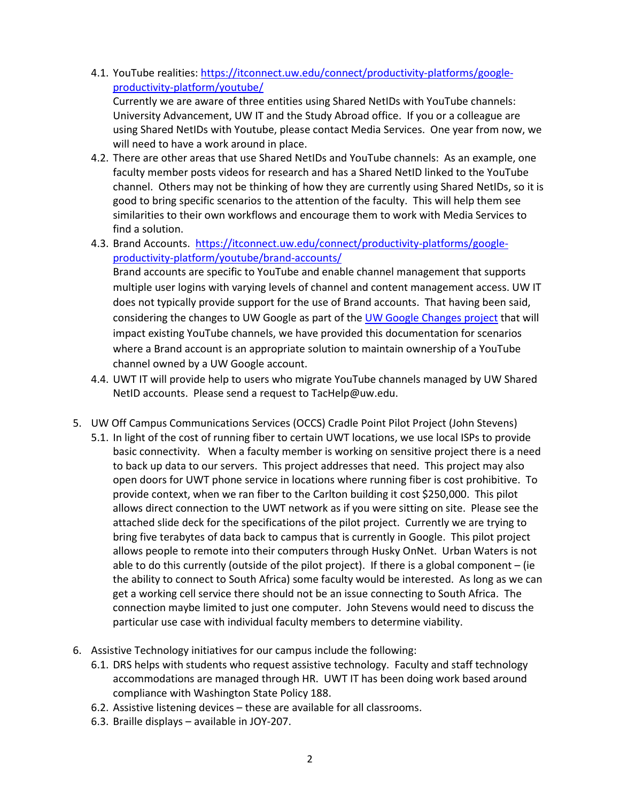#### 4.1. YouTube realities: [https://itconnect.uw.edu/connect/productivity-platforms/google](https://itconnect.uw.edu/connect/productivity-platforms/google-productivity-platform/youtube/)[productivity-platform/youtube/](https://itconnect.uw.edu/connect/productivity-platforms/google-productivity-platform/youtube/)

Currently we are aware of three entities using Shared NetIDs with YouTube channels: University Advancement, UW IT and the Study Abroad office. If you or a colleague are using Shared NetIDs with Youtube, please contact Media Services. One year from now, we will need to have a work around in place.

- 4.2. There are other areas that use Shared NetIDs and YouTube channels: As an example, one faculty member posts videos for research and has a Shared NetID linked to the YouTube channel. Others may not be thinking of how they are currently using Shared NetIDs, so it is good to bring specific scenarios to the attention of the faculty. This will help them see similarities to their own workflows and encourage them to work with Media Services to find a solution.
- 4.3. Brand Accounts. [https://itconnect.uw.edu/connect/productivity-platforms/google](https://itconnect.uw.edu/connect/productivity-platforms/google-productivity-platform/youtube/brand-accounts/)[productivity-platform/youtube/brand-accounts/](https://itconnect.uw.edu/connect/productivity-platforms/google-productivity-platform/youtube/brand-accounts/)

Brand accounts are specific to YouTube and enable channel management that supports multiple user logins with varying levels of channel and content management access. UW IT does not typically provide support for the use of Brand accounts. That having been said, considering the changes to UW Google as part of the [UW Google Changes project](https://itconnect.uw.edu/connect/productivity-platforms/google-productivity-platform/uw-google-changes-project/) that will impact existing YouTube channels, we have provided this documentation for scenarios where a Brand account is an appropriate solution to maintain ownership of a YouTube channel owned by a UW Google account.

- 4.4. UWT IT will provide help to users who migrate YouTube channels managed by UW Shared NetID accounts. Please send a request to TacHelp@uw.edu.
- 5. UW Off Campus Communications Services (OCCS) Cradle Point Pilot Project (John Stevens)
	- 5.1. In light of the cost of running fiber to certain UWT locations, we use local ISPs to provide basic connectivity. When a faculty member is working on sensitive project there is a need to back up data to our servers. This project addresses that need. This project may also open doors for UWT phone service in locations where running fiber is cost prohibitive. To provide context, when we ran fiber to the Carlton building it cost \$250,000. This pilot allows direct connection to the UWT network as if you were sitting on site. Please see the attached slide deck for the specifications of the pilot project. Currently we are trying to bring five terabytes of data back to campus that is currently in Google. This pilot project allows people to remote into their computers through Husky OnNet. Urban Waters is not able to do this currently (outside of the pilot project). If there is a global component – (ie the ability to connect to South Africa) some faculty would be interested. As long as we can get a working cell service there should not be an issue connecting to South Africa. The connection maybe limited to just one computer. John Stevens would need to discuss the particular use case with individual faculty members to determine viability.
- 6. Assistive Technology initiatives for our campus include the following:
	- 6.1. DRS helps with students who request assistive technology. Faculty and staff technology accommodations are managed through HR. UWT IT has been doing work based around compliance with Washington State Policy 188.
	- 6.2. Assistive listening devices these are available for all classrooms.
	- 6.3. Braille displays available in JOY-207.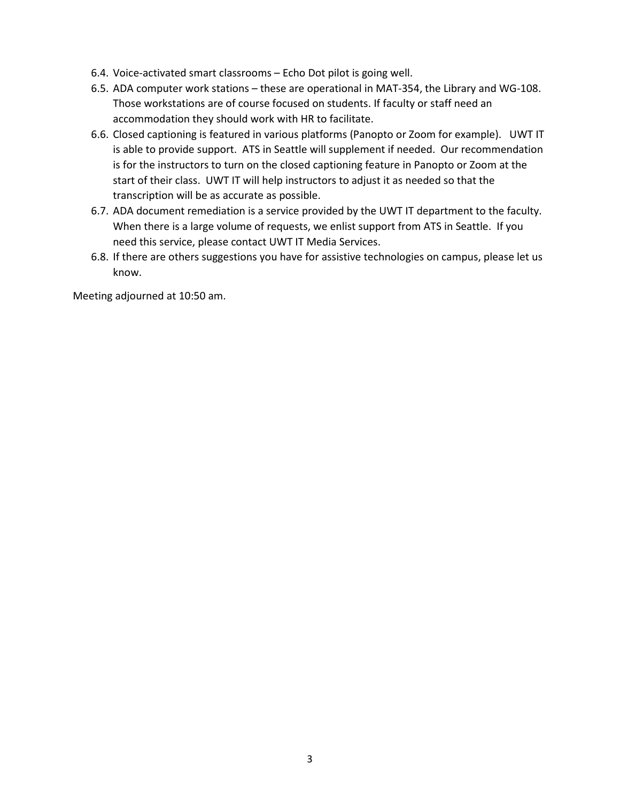- 6.4. Voice-activated smart classrooms Echo Dot pilot is going well.
- 6.5. ADA computer work stations these are operational in MAT-354, the Library and WG-108. Those workstations are of course focused on students. If faculty or staff need an accommodation they should work with HR to facilitate.
- 6.6. Closed captioning is featured in various platforms (Panopto or Zoom for example). UWT IT is able to provide support. ATS in Seattle will supplement if needed. Our recommendation is for the instructors to turn on the closed captioning feature in Panopto or Zoom at the start of their class. UWT IT will help instructors to adjust it as needed so that the transcription will be as accurate as possible.
- 6.7. ADA document remediation is a service provided by the UWT IT department to the faculty. When there is a large volume of requests, we enlist support from ATS in Seattle. If you need this service, please contact UWT IT Media Services.
- 6.8. If there are others suggestions you have for assistive technologies on campus, please let us know.

Meeting adjourned at 10:50 am.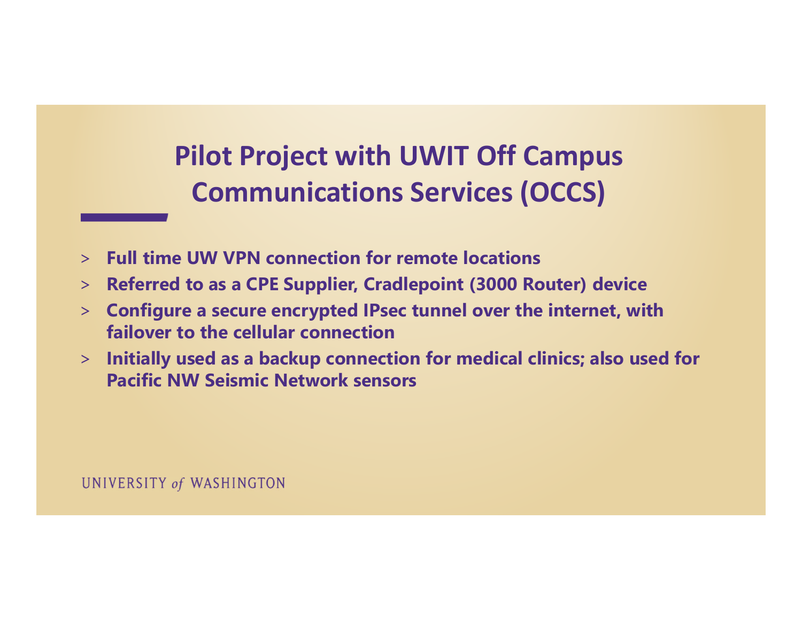**Pilot Project with UWIT Off Campus Communications Services (OCCS)**

- > **Full time UW VPN connection for remote locations**
- $\geq$ **Referred to as a CPE Supplier, Cradlepoint (3000 Router) device**
- > **Configure a secure encrypted IPsec tunnel over the internet, with failover to the cellular connection**
- > **Initially used as a backup connection for medical clinics; also used for Pacific NW Seismic Network sensors**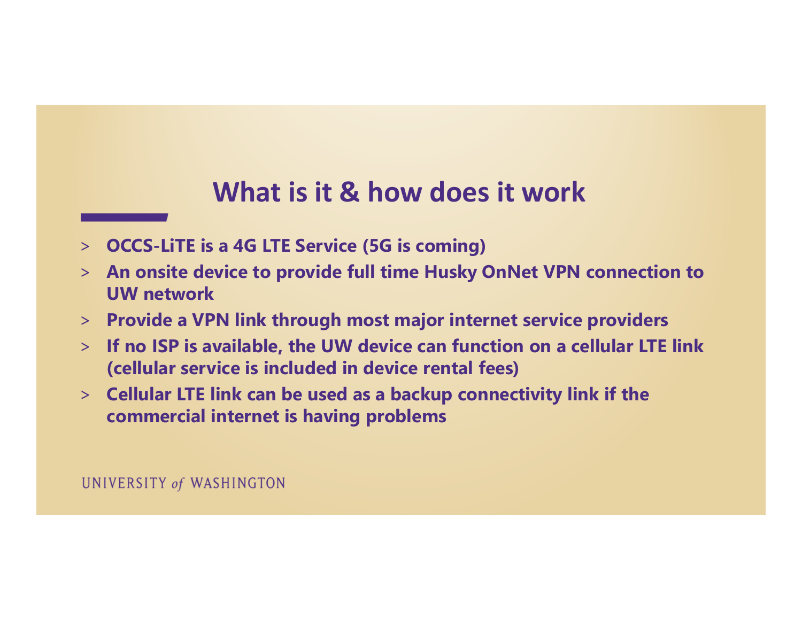### **What is it & how does it work**

- $\geq$ **OCCS-LiTE is a 4G LTE Service (5G is coming)**
- > **An onsite device to provide full time Husky OnNet VPN connection to UW network**
- > **Provide a VPN link through most major internet service providers**
- > **If no ISP is available, the UW device can function on a cellular LTE link (cellular service is included in device rental fees)**
- > **Cellular LTE link can be used as a backup connectivity link if the commercial internet is having problems**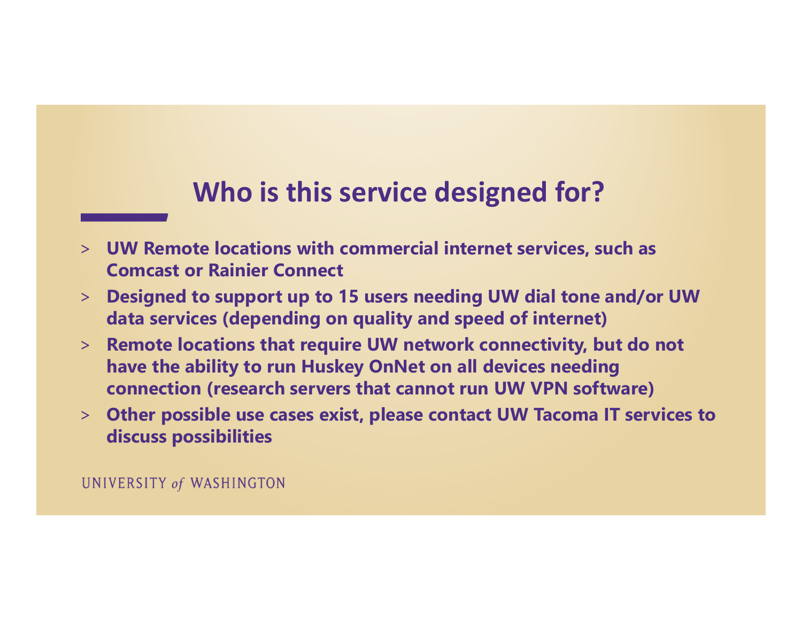# **Who is this service designed for?**

- > **UW Remote locations with commercial internet services, such as Comcast or Rainier Connect**
- $>$  **Designed to support up to 15 users needing UW dial tone and/or UW data services (depending on quality and speed of internet)**
- > **Remote locations that require UW network connectivity, but do not have the ability to run Huskey OnNet on all devices needing connection (research servers that cannot run UW VPN software)**
- > **Other possible use cases exist, please contact UW Tacoma IT services to discuss possibilities**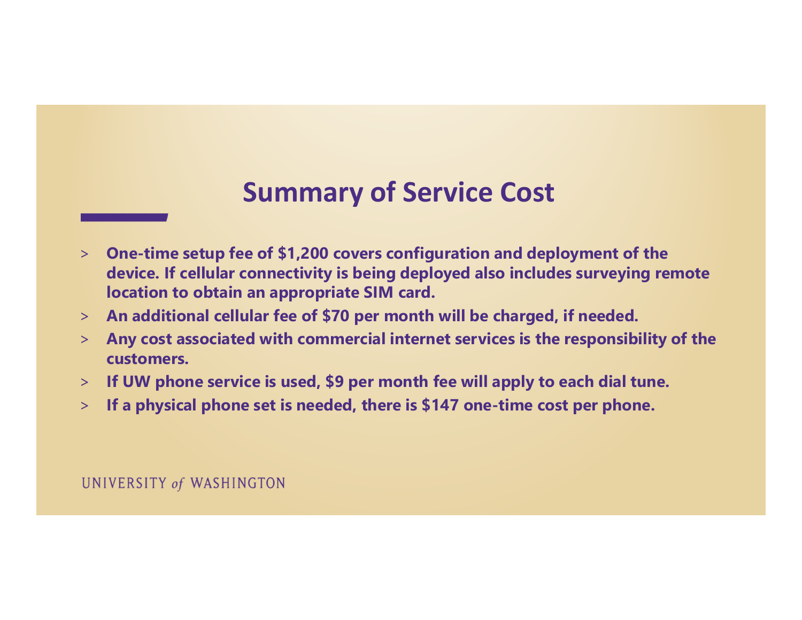# **Summary of Service Cost**

- > **One-time setup fee of \$1,200 covers configuration and deployment of the device. If cellular connectivity is being deployed also includes surveying remote location to obtain an appropriate SIM card.**
- > **An additional cellular fee of \$70 per month will be charged, if needed.**
- $\geq$  **Any cost associated with commercial internet services is the responsibility of the customers.**
- $>$ **If UW phone service is used, \$9 per month fee will apply to each dial tune.**
- $\geq$ **If a physical phone set is needed, there is \$147 one-time cost per phone.**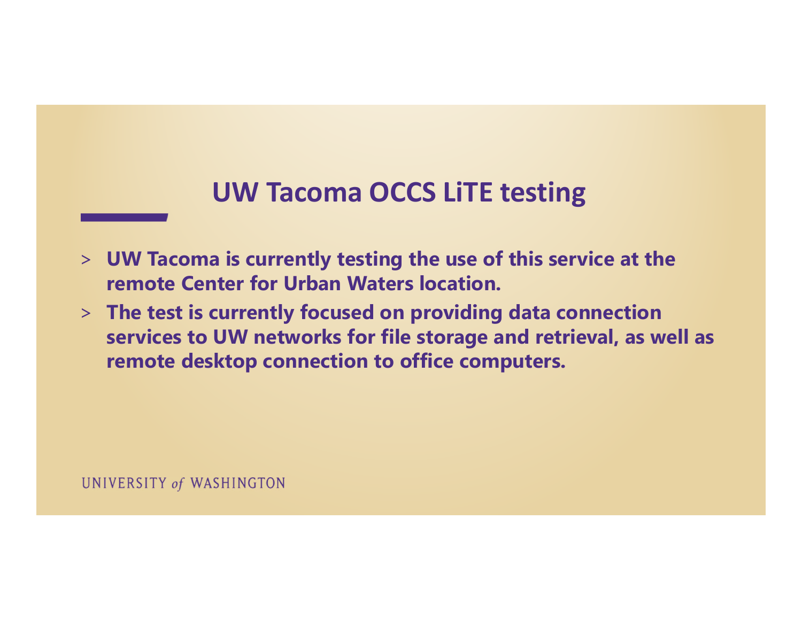### **UW Tacoma OCCS LiTE testing**

- > **UW Tacoma is currently testing the use of this service at the remote Center for Urban Waters location.**
- > **The test is currently focused on providing data connection services to UW networks for file storage and retrieval, as well as remote desktop connection to office computers.**